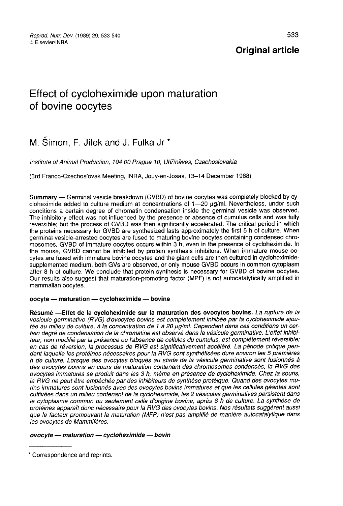## **Original article**

# Effect of cycloheximide upon maturation of bovine oocytes

## M. Šimon. F. Jílek and J. Fulka Jr \*

Institute of Animal Production, 104 00 Prague 10, Uhríněves, Czechoslovakia

(3rd Franco-Czechoslovak Meeting, INRA, Jouy-en-Josas, 13-14 December 1988)

Summary ― Germinal vesicle breakdown (GVBD) of bovine oocytes was completely blocked by cycloheximide added to culture medium at concentrations of 1—20 µg/ml. Nevertheless, under such conditions a certain degree of chromatin condensation inside the germinal vesicle was observed. The inhibitory effect was not influenced by the presence or absence of cumulus cells and was fully reversible; but the process of GVBD was then significantly accelerated. The critical period in which the proteins necessary for GVBD are synthesized lasts approximately the first 5 h of culture. When germinal vesicle-arrested oocytes are fused to maturing bovine oocytes containing condensed chromosomes, GVBD of immature oocytes occurs within 3 h, even in the presence of cycloheximide. In the mouse, GVBD cannot be inhibited by protein synthesis inhibitors. When immature mouse oocytes are fused with immature bovine oocytes and the giant cells are then cultured in cycloheximidesupplemented medium, both GVs are observed, or only mouse GVBD occurs in common cytoplasm after 8 h of culture. We conclude that protein synthesis is necessary for GVBD of bovine oocytes. Our results also suggest that maturation-promoting factor (MPF) is not autocatalytically amplified in mammalian oocytes.

#### oocyte - maturation - cycloheximide - bovine

Résumé -Effet de la cycloheximide sur la maturation des ovocytes bovins. La rupture de la vesicule germinative (RVG) d'ovocytes bovins est complètement inhibée par la cycloheximide ajoutée au milieu de culture, à la concentration de 1 à 20  $\mu q$ /ml. Cependant dans ces conditions un certain degré de condensation de la chromatine est observé dans la vésicule germinative. L'effet inhibiteur, non modifié par la présence ou l'absence de cellules du cumulus, est complètement réversible; en cas de réversion, la processus de RVG est significativement accéléré. La période critique pendant laquelle les protéines nécessaires pour la RVG sont synthétisées dure environ les 5 premières h de culture. Lorsque des ovocytes bloqués au stade de la vésicule germinative sont fusionnés à des ovocytes bovins en cours de maturation contenant des chromosomes condensés, la RVG des ovocytes immatures se produit dans les 3 h, même en présence de cycloheximide. Chez la souris, la RVG ne peut être empêchée par des inhibiteurs de synthèse protéique. Quand des ovocytes murins immatures sont fusionnés avec des ovocytes bovins immatures et que les cellules géantes sont cultivées dans un milieu contenant de la cycloheximide, les 2 vésicules germinatives persistent dans le cytoplasme commun ou seulement celle d'origine bovine, après 8 h de culture. La synthèse de protéines apparaît donc nécessaire pour la RVG des ovocytes bovins. Nos résultats suggèrent aussi que le facteur promouvant la maturation (MFP) n'est pas amplifié de manière autocatalytique dans les ovocytes de Mammifères. Conversion and rimined content<br>
le cytoplasme commun ou sel<br>
protéines apparaît donc nécesse<br>
que le facteur promouvant la<br>
les ovocytes de Mammifères.<br> **ovocyte — maturation — cycondence and reprints.**<br>
\* Correspondence a

#### $ovocyte - maturation - cycloheximide - bovin$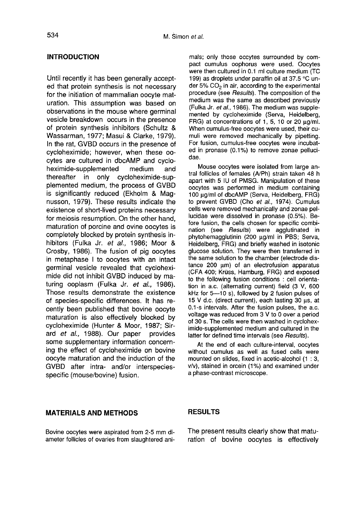## INTRODUCTION

Until recently it has been generally accepted that protein synthesis is not necessary for the initiation of mammalian oocyte maturation. This assumption was based on observations in the mouse where germinal vesicle breakdown occurs in the presence of protein synthesis inhibitors (Schultz & Wassarman, 1977; Masui & Clarke, 1979). In the rat, GVBD occurs in the presence of cycloheximide; however, when these oocytes are cultured in dbcAMP and cyclo-<br>heximide-supplemented medium and heximide-supplemented<br>thereafter in only o cycloheximide-supplemented medium, the process of GVBD is significantly reduced (Ekholm & Magnusson, 1979). These results indicate the existence of short-lived proteins necessary for meiosis resumption. On the other hand, maturation of porcine and ovine oocytes is completely blocked by protein synthesis inhibitors (Fulka Jr. et al., 1986; Moor & Crosby, 1986). The fusion of pig oocytes in metaphase I to oocytes with an intact germinal vesicle revealed that cycloheximide did not inhibit GVBD induced by maturing ooplasm (Fulka Jr. et al., 1986). Those results demonstrate the existence of species-specific differences. It has recently been published that bovine oocyte maturation is also effectively blocked by cycloheximide (Hunter & Moor, 1987; Sirard et al., 1988). Our paper provides some supplementary information concerning the effect of cycloheximide on bovine oocyte maturation and the induction of the GVBD after intra- and/or interspeciesspecific (mouse/bovine) fusion.

mals; only those occytes surrounded by compact cumulus oophorus were used. Oocytes were then cultured in 0.1 ml culture medium (TC 199) as droplets under paraffin oil at 37.5 °C under 5%  $CO<sub>2</sub>$  in air, according to the experimental procedure (see Results). The composition of the medium was the same as described previously (Fulka Jr. et al., 1986). The medium was supplemented by cycloheximide (Serva, Heidelberg, FRG) at concentrations of 1, 5, 10 or 20  $\mu$ q/ml. When cumulus-free oocytes were used, their cumuli were removed mechanically by pipetting. For fusion, cumulus-free oocytes were incubated in pronase (0.1%) to remove zonae pellucidae.

Mouse oocytes were isolated from large antral follicles of females (A/Ph) strain taken 48 h apart with 5 IU of PMSG. Manipulation of these<br>oocytes was performed in medium containing 100 µg/ml of dbcAMP (Serva, Heidelberg, FRG) to prevent GVBD (Cho et al., 1974). Cumulus cells were removed mechanically and zonae pellucidae were dissolved in pronase (0.5%). Before fusion, the cells chosen for specific combination (see Results) were agglutinated in phytohemagglutinin (200 µg/ml in PBS; Serva, Heidelberg, FRG) and briefly washed in isotonic glucose solution. They were then transferred in the same solution to the chamber (electrode dis $t$ ance 200  $\mu$ m) of an electrofusion apparatus (CFA 400; Kruss, Hamburg, FRG) and exposed to the following fusion conditions : cell orientation in a.c. (alternating current) field (3 V, 600 kHz for 5―10 s), followed by 2 fusion pulses of 15 V d.c. (direct current), each lasting  $30 \text{ }\mu\text{s}$ , at 0.1-s intervals. After the fusion pulses, the a.c. voltage was reduced from 3 V to 0 over a period of 30 s. The cells were then washed in cycloheximide-supplemented medium and cultured in the latter for defined time intervals (see Results).

At the end of each culture-interval, oocytes without cumulus as well as fused cells were mounted on slides, fixed in acetic-alcohol (1 : 3, v/v), stained in orcein (1%) and examined under a phase-contrast microscope.

### MATERIALS AND METHODS

Bovine oocytes were aspirated from 2-5 mm diameter follicles of ovaries from slaughtered aniThe present results clearly show that maturation of bovine oocytes is effectively

RESULTS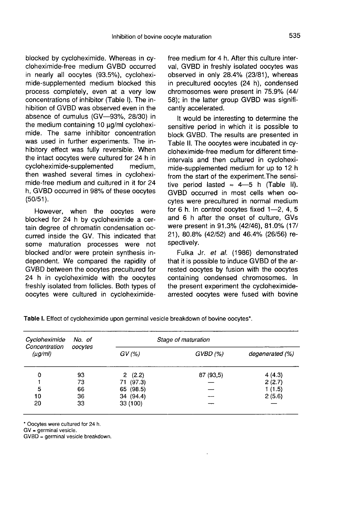blocked by cycloheximide. Whereas in cycloheximide-free medium GVBD occurred in nearly all oocytes (93.5%), cycloheximide-supplemented medium blocked this process completely, even at a very low concentrations of inhibitor (Table I). The inhibition of GVBD was observed even in the absence of cumulus (GV―93%, 28/30) in the medium containing 10 µg/ml cycloheximide. The same inhibitor concentration was used in further experiments. The inhibitory effect was fully reversible. When the intact oocytes were cultured for 24 h in<br>cycloheximide-supplemented medium. cycloheximide-supplemented then washed several times in cycloheximide-free medium and cultured in it for 24 h, GVBD occurred in 98% of these oocytes  $(50/51)$ .

However, when the oocytes were blocked for 24 h by cycloheximide a certain degree of chromatin condensation occurred inside the GV. This indicated that some maturation processes were not blocked and/or were protein synthesis independent. We compared the rapidity of GVBD between the oocytes precultured for 24 h in cycloheximide with the oocytes freshly isolated from follicles. Both types of oocytes were cultured in cycloheximidefree medium for 4 h. After this culture interval, GVBD in freshly isolated oocytes was observed in only 28.4% (23/81), whereas in precultured oocytes (24 h), condensed chromosomes were present in 75.9% (44/ 58); in the latter group GVBD was significantly accelerated.

It would be interesting to determine the sensitive period in which it is possible to block GVBD. The results are presented in Table II. The oocytes were incubated in cycloheximide-free medium for different timeintervals and then cultured in cycloheximide-supplemented medium for up to 12 h from the start of the experiment. The sensitive period lasted  $\approx$  4-5 h (Table II). intervals and then cultured in cycloheximide-supplemented medium for up to 12 h<br>from the start of the experiment. The sensi-<br>tive period lasted  $\approx$  4--5 h (Table II).<br>GVBD occurred in most cells when oo-GVBD occurred in most cells when oocytes were precultured in normal medium for 6 h. In control oocytes fixed 1―2, 4, 5 and 6 h after the onset of culture, GVs were present in 91.3% (42/46), 81.0% (17/ 21), 80.8% (42/52) and 46.4% (26/56) respectively.

Fulka Jr. et al. (1986) demonstrated that it is possible to induce GVBD of the arrested oocytes by fusion with the oocytes containing condensed chromosomes. In the present experiment the cycloheximidearrested oocytes were fused with bovine

| Cycloheximide<br>Concentration<br>$(\mu g/ml)$ | No. of<br>oocytes | Stage of maturation |            |                 |  |
|------------------------------------------------|-------------------|---------------------|------------|-----------------|--|
|                                                |                   | GV(%)               | $GVBD$ (%) | degenerated (%) |  |
| 0                                              | 93                | 2(2.2)              | 87 (93,5)  | 4(4.3)          |  |
|                                                | 73                | 71 (97.3)           |            | 2(2.7)          |  |
| 5                                              | 66                | 65 (98.5)           |            | 1(1.5)          |  |
| 10                                             | 36                | 34 (94.4)           |            | 2(5.6)          |  |
| 20                                             | 33                | 33 (100)            |            |                 |  |

Table I. Effect of cycloheximide upon germinal vesicle breakdown of bovine oocytes\*.

\* Oocytes were cultured for 24 h.

 $GV = germinal vesicle.$ 

GVBD = germinal vesicle breakdown.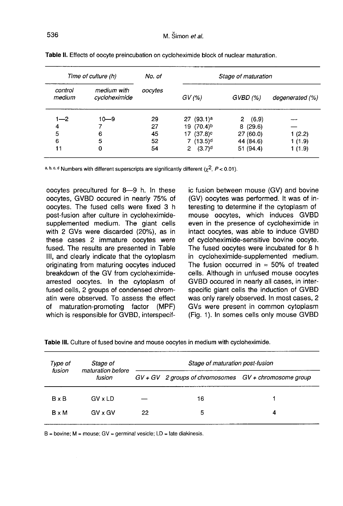|                   | Time of culture (h)          | No. of  |                       | Stage of maturation |                 |
|-------------------|------------------------------|---------|-----------------------|---------------------|-----------------|
| control<br>medium | medium with<br>cycloheximide | oocytes | GV(%)                 | GVBD(%)             | degenerated (%) |
| $1 - 2$           | $10 - 9$                     | 29      | 27(93.1) <sup>a</sup> | (6.9)<br>2          |                 |
| 4                 |                              | 27      | 19 (70.4)b            | 8(29.6)             |                 |
| 5                 | 6                            | 45      | $17(37.8)^c$          | 27(60.0)            | 1(2.2)          |
| 6                 | 5                            | 52      | 7(13.5) <sup>d</sup>  | 44 (84.6)           | 1 (1.9)         |
| 11                | 0                            | 54      | $(3.7)^d$<br>2        | 51 (94.4)           | 1(1.9)          |

Table II. Effects of oocyte preincubation on cycloheximide block of nuclear maturation.

a, b, c, d Numbers with different superscripts are significantly different ( $\chi^2$ , P < 0.01).

oocytes precultured for 8―9 h. In these oocytes, GVBD occured in nearly 75% of oocytes. The fused cells were fixed 3 h post-fusion after culture in cycloheximidesupplemented medium. The giant cells with 2 GVs were discarded (20%), as in these cases 2 immature oocytes were fused. The results are presented in Table III, and clearly indicate that the cytoplasm originating from maturing oocytes induced breakdown of the GV from cycloheximidearrested oocytes. In the cytoplasm of fused cells, 2 groups of condensed chromatin were observed. To assess the effect of maturation-promoting factor (MPF) which is responsible for GVBD, interspecif-

ic fusion between mouse (GV) and bovine (GV) oocytes was performed. It was of interesting to determine if the cytoplasm of mouse oocytes, which induces GVBD even in the presence of cycloheximide in intact oocytes, was able to induce GVBD of cycloheximide-sensitive bovine oocyte. The fused oocytes were incubated for 8 h in cycloheximide-supplemented medium. The fusion occurred in  $\approx$  50% of treated cells. Although in unfused mouse oocytes GVBD occured in nearly all cases, in interspecific giant cells the induction of GVBD was only rarely observed. In most cases, 2 GVs were present in common cytoplasm (Fig. 1). In somes cells only mouse GVBD

| Table III. Culture of fused bovine and mouse oocytes in medium with cycloheximide. |  |  |
|------------------------------------------------------------------------------------|--|--|
|------------------------------------------------------------------------------------|--|--|

| Type of<br>fusion | Stage of<br>maturation before<br>fusion | Stage of maturation post-fusion |                                                           |   |  |
|-------------------|-----------------------------------------|---------------------------------|-----------------------------------------------------------|---|--|
|                   |                                         |                                 | $GV + GV$ 2 groups of chromosomes $GV +$ chromosome group |   |  |
| $B \times B$      | GVxLD                                   |                                 | 16                                                        |   |  |
| $B \times M$      | $GV \times GV$                          | 22                              | 5                                                         | 4 |  |

 $B =$  bovine; M = mouse; GV = germinal vesicle; LD = late diakinesis.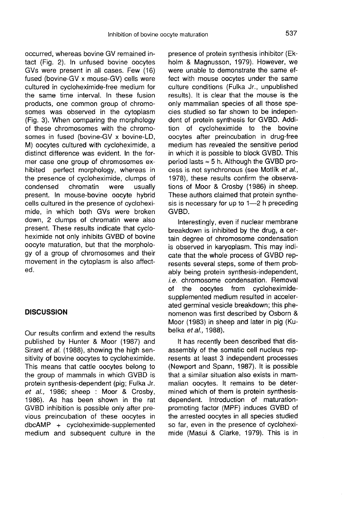occurred, whereas bovine GV remained intact (Fig. 2). In unfused bovine oocytes GVs were present in all cases. Few (16) fused (bovine-GV x mouse-GV) cells were cultured in cycloheximide-free medium for the same time interval. In these fusion products, one common group of chromosomes was observed in the cytoplasm (Fig. 3). When comparing the morphology of these chromosomes with the chromosomes in fused (bovine-GV x bovine-LD, M) oocytes cultured with cycloheximide, a distinct difference was evident. In the former case one group of chromosomes ex-<br>hibited perfect morphology, whereas in perfect morphology, whereas in the presence of cycloheximide, clumps of<br>condensed chromatin were usually condensed present. In mouse-bovine oocyte hybrid cells cultured in the presence of cycloheximide, in which both GVs were broken down, 2 clumps of chromatin were also present. These results indicate that cycloheximide not only inhibits GVBD of bovine oocyte maturation, but that the morphology of a group of chromosomes and their movement in the cytoplasm is also affected.

### **DISCUSSION**

Our results confirm and extend the results published by Hunter & Moor (1987) and Sirard et al. (1988), showing the high sensitivity of bovine oocytes to cycloheximide. This means that cattle oocytes belong to the group of mammals in which GVBD is protein synthesis-dependent (pig; Fulka Jr. et al., 1986; sheep : Moor & Crosby, 1986). As has been shown in the rat GVBD inhibition is possible only after previous preincubation of these oocytes in dbcAMP + cycloheximide-supplemented medium and subsequent culture in the

presence of protein synthesis inhibitor (Ekholm & Magnusson, 1979). However, we were unable to demonstrate the same effect with mouse oocytes under the same culture conditions (Fulka Jr., unpublished results). It is clear that the mouse is the only mammalian species of all those species studied so far shown to be independent of protein synthesis for GVBD. Addition of cycloheximide to the bovine oocytes after preincubation in drug-free medium has revealed the sensitive period in which it is possible to block GVBD. This period lasts  $\approx$  5 h. Although the GVBD process is not synchronous (see Motlik et al., 1978), these results confirm the observations of Moor & Crosby (1986) in sheep. These authors claimed that protein synthesis is necessary for up to 1―2 h preceding GVBD.

Interestingly, even if nuclear membrane breakdown is inhibited by the drug, a certain degree of chromosome condensation is observed in karyoplasm. This may indicate that the whole process of GVBD represents several steps, some of them probably being protein synthesis-independent, i.e. chromosome condensation. Removal of the oocytes from cycloheximidesupplemented medium resulted in accelerated germinal vesicle breakdown; this phe nomenon was first described by Osborn & Moor (1983) in sheep and later in pig (Kubelka et al., 1988).

It has recently been described that disassembly of the somatic cell nucleus represents at least 3 independent processes (Newport and Spann, 1987). It is possible that a similar situation also exists in mammalian oocytes. It remains to be determined which of them is protein synthesisdependent. Introduction of maturationpromoting factor (MPF) induces GVBD of the arrested oocytes in all species studied so far, even in the presence of cycloheximide (Masui & Clarke, 1979). This is in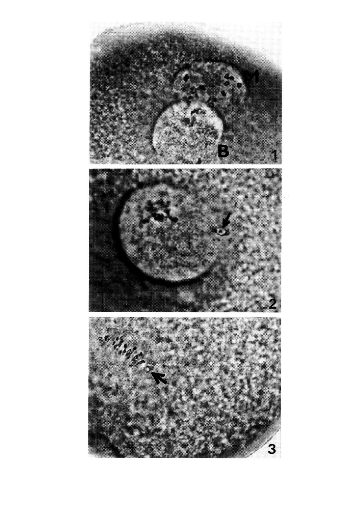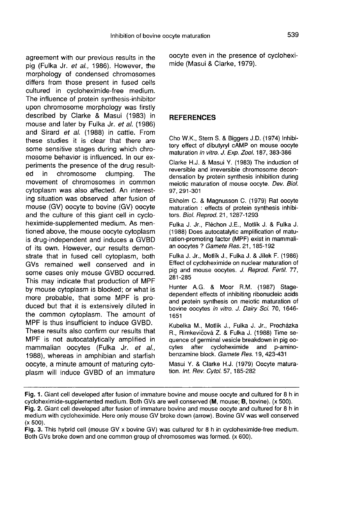agreement with our previous results in the pig (Fulka Jr. et al., 1986). However, the morphology of condensed chromosomes differs from those present in fused cells cultured in cycloheximide-free medium. The influence of protein synthesis-inhibitor upon chromosome morphology was firstly described by Clarke & Masui (1983) in mouse and later by Fulka Jr. et al. (1986) and Sirard et al. (1988) in cattle. From these studies it is clear that there are some sensitive stages during which chromosome behavior is influenced. In our experiments the presence of the drug result-<br>ed in chromosome clumping. The chromosome movement of chromosomes in common cytoplasm was also affected. An interesting situation was observed after fusion of mouse (GV) oocyte to bovine (GV) oocyte and the culture of this giant cell in cycloheximide-supplemented medium. As mentioned above, the mouse oocyte cytoplasm is drug-independent and induces a GVBD of its own. However, our results demonstrate that in fused cell cytoplasm, both GVs remained well conserved and in some cases only mouse GVBD occurred. This may indicate that production of MPF by mouse cytoplasm is blocked; or what is more probable, that some MPF is produced but that it is extensively diluted in the common cytoplasm. The amount of MPF is thus insufficient to induce GVBD. These results also confirm our results that

MPF is not autocatalytically amplified in mammalian oocytes (Fulka Jr. et al., 1988), whereas in amphibian and starfish oocyte, a minute amount of maturing cytoplasm will induce GVBD of an immature oocyte even in the presence of cycloheximide (Masui & Clarke, 1979).

## **REFERENCES**

Cho W.K., Stern S. & Biggers J.D. (1974) Inhibitory effect of dibutyryl cAMP on mouse oocyte maturation in vitro. J. Exp. Zool. 187, 383-386

Clarke H.J. & Masui Y. (1983) The induction of reversible and irreversible chromosome decondensation by protein synthesis inhibition during meiotic maturation of mouse oocyte. Dev. Biol. 97,291-301

Ekholm C. & Magnusson C. (1979) Rat oocyte maturation : effects of protein synthesis inhibitors. Biol. Reprod. 21, 1287-1293

Fulka J. Jr., F16chon J.E., Motlik J. & Fulka J. (1988) Does autocatalytic amplification of maturation-promoting factor (MPF) exist in mammalian oocytes ? Gamete Res. 21, 185-192

Fulka J. Jr., Motlik J., Fulka J. & Jilek F. (1986) Effect of cycloheximide on nuclear maturation of pig and mouse oocytes. J. Reprod. Fertil. 77, 281-285

Hunter A.G. & Moor R.M. (1987) Stagedependent effects of inhibiting ribonucleic acids and protein synthesis on meiotic maturation of bovine oocytes in vitro. J. Dairy Sci. 70, 1646- 1651

Kubelka M., Motlik J., Fulka J. Jr., Prochazka R., Rimkevicova Z. & Fulka J. (1988) Time sequence of germinal vesicle breakdown in pig oocytes after cycloheximide and p-aminobenzamine block. Gamete Res. 19, 423-431

Masui Y. & Clarke H.J. (1979) Oocyte maturation. lnt. Rev. Cytol. 57, 185-282

Fig. 3. This hybrid cell (mouse GV x bovine GV) was cultured for 8 h in cycloheximide-free medium. Both GVs broke down and one common group of chromosomes was formed. (x 600).

Fig. 1. Giant cell developed after fusion of immature bovine and mouse oocyte and cultured for 8 h in cycloheximide-supplemented medium. Both GVs are well conserved (M, mouse; B, bovine). (x 500). Fig. 2. Giant cell developed after fusion of immature bovine and mouse oocyte and cultured for 8 h in medium with cycloheximide. Here only mouse GV broke down (arrow). Bovine GV was well conserved  $(x 500)$ .